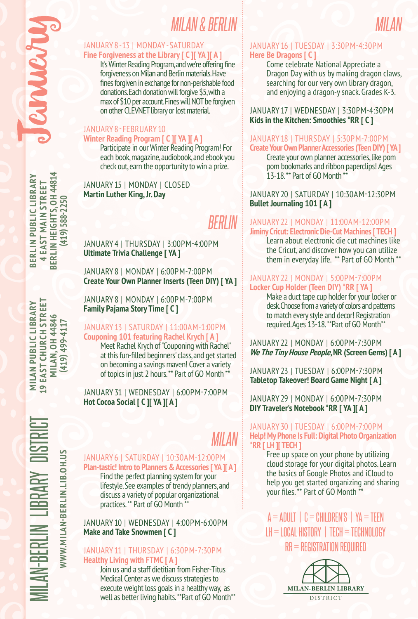**BERLIN HEIGHTS. 0H 44814 BERLIN HEIGHTS, OH 44814 BERLIN PUBLIC LIBRARY** BERLIN PUBLIC LIBRARY **4 EAST MAIN STREET 4 EAST MAIN STREET** (419) 588-2250 **(419) 588-2250**

9 EAST CHURCH STREET MILAN-BERLIN LIBRARY DISTRICT **MILAN PUBLIC LIBRARY 19 EAST CHURCH STREET MILAN, OH 44846 MILAN PUBLIC LIBRARY MILAN, 0H44846** (419) 499-4117 **(419) 499-4117**

## *MILAN & BERLIN MILAN*

## JANUARY 8-13 | MONDAY - SATURDAY **Fine Forgiveness at the Library [ C ][ YA ][ A ]**

It's Winter Reading Program, and we're offering fine forgiveness on Milan and Berlin materials. Have fines forgiven in exchange for non-perishable food donations. Each donation will forgive \$5, with a max of \$10 per account. Fines will NOT be forgiven on other CLEVNET library or lost material.

## JANUARY 8 - FEBRUARY 10 **Winter Reading Program [ C ][ YA ][ A ]**

Participate in our Winter Reading Program! For each book, magazine, audiobook, and ebook you check out, earn the opportunity to win a prize.

JANUARY 15 | MONDAY | CLOSED **Martin Luther King, Jr. Day**

# *BERLIN*

JANUARY 4 | THURSDAY | 3:00PM-4:00PM **Ultimate Trivia Challenge [ YA ]**

JANUARY 8 | MONDAY | 6:00PM-7:00PM **Create Your Own Planner Inserts (Teen DIY) [ YA ]** 

JANUARY 8 | MONDAY | 6:00PM-7:00PM **Family Pajama Story Time [ C ]**

## JANUARY 13 | SATURDAY | 11:00AM-1:00PM **Couponing 101 featuring Rachel Krych [ A ]**

Meet Rachel Krych of "Couponing with Rachel" at this fun-filled beginners' class, and get started on becoming a savings maven! Cover a variety of topics in just 2 hours. \*\* Part of GO Month \*\*

JANUARY 31 | WEDNESDAY | 6:00PM-7:00PM **Hot Cocoa Social [ C ][ YA ][ A ]**

# MILAN-BERLIN LIBRARY DISTRICT WWW.MILAN-BERLIN.LIB.OH.US **WWW.MILAN-BERLIN.LIB.OH.US**

## JANUARY 6 | SATURDAY | 10:30AM-12:00PM **Plan-tastic! Intro to Planners & Accessories [ YA ][ A ]** *MILAN*

Find the perfect planning system for your lifestyle. See examples of trendy planners, and discuss a variety of popular organizational practices. \*\* Part of GO Month \*\*

## JANUARY 10 | WEDNESDAY | 4:00PM-6:00PM **Make and Take Snowmen [ C ]**

## JANUARY 11 | THURSDAY | 6:30PM-7:30PM **Healthy Living with FTMC [ A ]**

Join us and a staff dietitian from Fisher-Titus Medical Center as we discuss strategies to execute weight loss goals in a healthy way, as well as better living habits. \*\*Part of GO Month\*\*

## JANUARY 16 | TUESDAY | 3:30PM-4:30PM **Here Be Dragons [ C ]**

Come celebrate National Appreciate a Dragon Day with us by making dragon claws, searching for our very own library dragon, and enjoying a dragon-y snack. Grades K-3.

JANUARY 17 | WEDNESDAY | 3:30PM-4:30PM **Kids in the Kitchen: Smoothies \*RR [ C ]**

#### JANUARY 18 | THURSDAY | 5:30PM-7:00PM **Create Your Own Planner Accessories (Teen DIY) [ YA ]**

Create your own planner accessories, like pom pom bookmarks and ribbon paperclips! Ages 13-18. \*\* Part of GO Month \*\*

JANUARY 20 | SATURDAY | 10:30AM-12:30PM **Bullet Journaling 101 [ A ]**

## JANUARY 22 | MONDAY | 11:00AM-12:00PM **Jiminy Cricut: Electronic Die-Cut Machines [ TECH ]**

Learn about electronic die cut machines like the Cricut, and discover how you can utilize them in everyday life. \*\* Part of GO Month \*\*

## JANUARY 22 | MONDAY | 5:00PM-7:00PM **Locker Cup Holder (Teen DIY) \*RR [ YA ]**

Make a duct tape cup holder for your locker or desk. Choose from a variety of colors and patterns to match every style and decor! Registration required. Ages 13-18. \*\*Part of GO Month\*\*

JANUARY 22 | MONDAY | 6:00PM-7:30PM **We The Tiny House People, NR (Screen Gems) [ A ]**

JANUARY 23 | TUESDAY | 6:00PM-7:30PM **Tabletop Takeover! Board Game Night [ A ]**

JANUARY 29 | MONDAY | 6:00PM-7:30PM **DIY Traveler's Notebook \*RR [ YA ][ A ]**

## JANUARY 30 | TUESDAY | 6:00PM-7:00PM **Help! My Phone Is Full: Digital Photo Organization \*RR [ LH ][ TECH ]**

Free up space on your phone by utilizing cloud storage for your digital photos. Learn the basics of Google Photos and iCloud to help you get started organizing and sharing your files. \*\* Part of GO Month \*

 $A = ADULT \perp C = CHILDREN'S \perp YA = TEEN$  $L$ H = LOCAL HISTORY  $\perp$  tech = technology RR = REGISTRATION REQUIRED